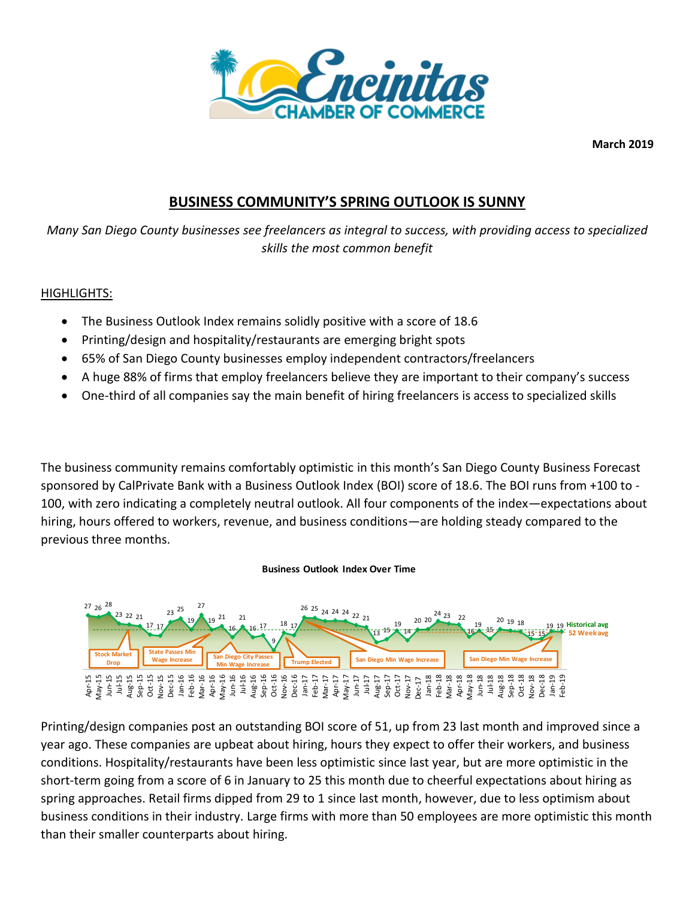

**March 2019**

# **BUSINESS COMMUNITY'S SPRING OUTLOOK IS SUNNY**

*Many San Diego County businesses see freelancers as integral to success, with providing access to specialized skills the most common benefit*

## HIGHLIGHTS:

- The Business Outlook Index remains solidly positive with a score of 18.6
- Printing/design and hospitality/restaurants are emerging bright spots
- 65% of San Diego County businesses employ independent contractors/freelancers
- A huge 88% of firms that employ freelancers believe they are important to their company's success
- One-third of all companies say the main benefit of hiring freelancers is access to specialized skills

The business community remains comfortably optimistic in this month's San Diego County Business Forecast sponsored by CalPrivate Bank with a Business Outlook Index (BOI) score of 18.6. The BOI runs from +100 to - 100, with zero indicating a completely neutral outlook. All four components of the index—expectations about hiring, hours offered to workers, revenue, and business conditions—are holding steady compared to the previous three months.

### **Business Outlook Index Over Time**



Printing/design companies post an outstanding BOI score of 51, up from 23 last month and improved since a year ago. These companies are upbeat about hiring, hours they expect to offer their workers, and business conditions. Hospitality/restaurants have been less optimistic since last year, but are more optimistic in the short-term going from a score of 6 in January to 25 this month due to cheerful expectations about hiring as spring approaches. Retail firms dipped from 29 to 1 since last month, however, due to less optimism about business conditions in their industry. Large firms with more than 50 employees are more optimistic this month than their smaller counterparts about hiring.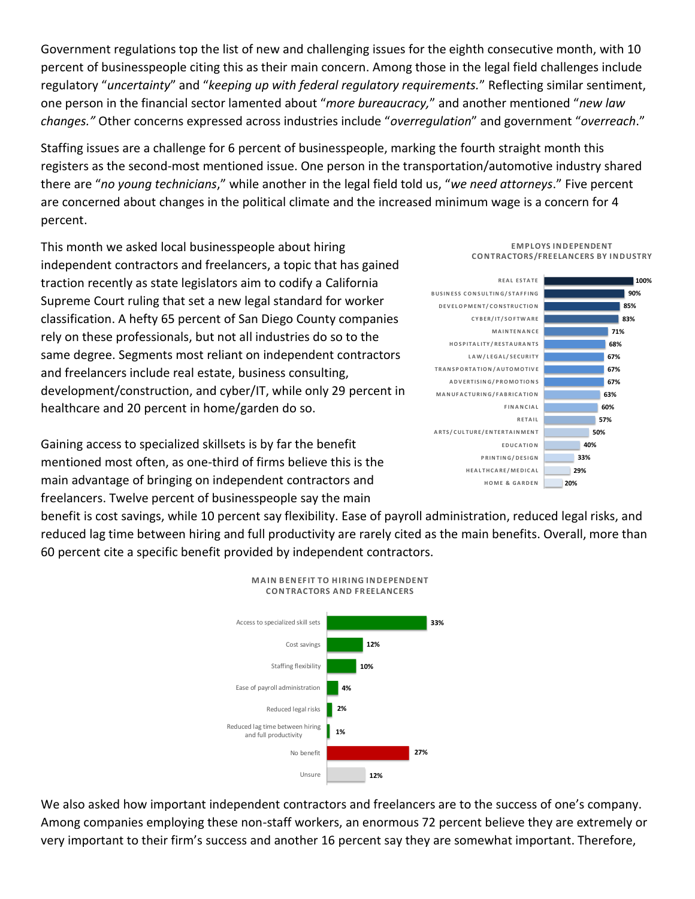Government regulations top the list of new and challenging issues for the eighth consecutive month, with 10 percent of businesspeople citing this as their main concern. Among those in the legal field challenges include regulatory "*uncertainty*" and "*keeping up with federal regulatory requirements.*" Reflecting similar sentiment, one person in the financial sector lamented about "*more bureaucracy,*" and another mentioned "*new law changes."* Other concerns expressed across industries include "*overregulation*" and government "*overreach*."

Staffing issues are a challenge for 6 percent of businesspeople, marking the fourth straight month this registers as the second-most mentioned issue. One person in the transportation/automotive industry shared there are "*no young technicians*," while another in the legal field told us, "*we need attorneys*." Five percent are concerned about changes in the political climate and the increased minimum wage is a concern for 4 percent.

This month we asked local businesspeople about hiring independent contractors and freelancers, a topic that has gained traction recently as state legislators aim to codify a California Supreme Court ruling that set a new legal standard for worker classification. A hefty 65 percent of San Diego County companies rely on these professionals, but not all industries do so to the same degree. Segments most reliant on independent contractors and freelancers include real estate, business consulting, development/construction, and cyber/IT, while only 29 percent in healthcare and 20 percent in home/garden do so.

Gaining access to specialized skillsets is by far the benefit mentioned most often, as one-third of firms believe this is the main advantage of bringing on independent contractors and freelancers. Twelve percent of businesspeople say the main

benefit is cost savings, while 10 percent say flexibility. Ease of payroll administration, reduced legal risks, and reduced lag time between hiring and full productivity are rarely cited as the main benefits. Overall, more than 60 percent cite a specific benefit provided by independent contractors.



We also asked how important independent contractors and freelancers are to the success of one's company. Among companies employing these non-staff workers, an enormous 72 percent believe they are extremely or very important to their firm's success and another 16 percent say they are somewhat important. Therefore,